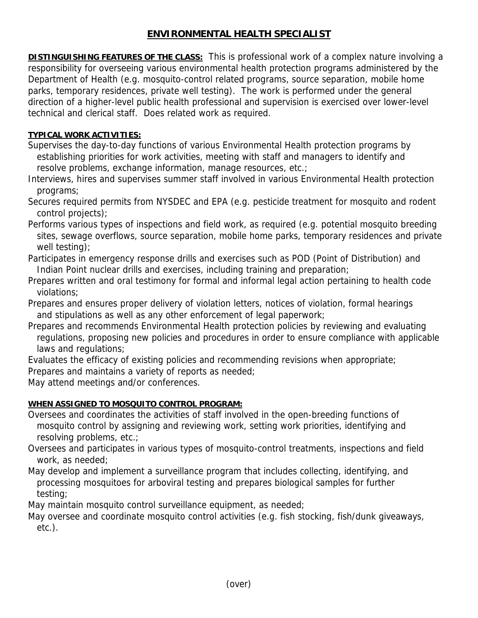# **ENVIRONMENTAL HEALTH SPECIALIST**

**DISTINGUISHING FEATURES OF THE CLASS:** This is professional work of a complex nature involving a responsibility for overseeing various environmental health protection programs administered by the Department of Health (e.g. mosquito-control related programs, source separation, mobile home parks, temporary residences, private well testing). The work is performed under the general direction of a higher-level public health professional and supervision is exercised over lower-level technical and clerical staff. Does related work as required.

## **TYPICAL WORK ACTIVITIES:**

Supervises the day-to-day functions of various Environmental Health protection programs by establishing priorities for work activities, meeting with staff and managers to identify and resolve problems, exchange information, manage resources, etc.;

Interviews, hires and supervises summer staff involved in various Environmental Health protection programs;

Secures required permits from NYSDEC and EPA (e.g. pesticide treatment for mosquito and rodent control projects);

Performs various types of inspections and field work, as required (e.g. potential mosquito breeding sites, sewage overflows, source separation, mobile home parks, temporary residences and private well testing);

Participates in emergency response drills and exercises such as POD (Point of Distribution) and Indian Point nuclear drills and exercises, including training and preparation;

Prepares written and oral testimony for formal and informal legal action pertaining to health code violations;

Prepares and ensures proper delivery of violation letters, notices of violation, formal hearings and stipulations as well as any other enforcement of legal paperwork;

Prepares and recommends Environmental Health protection policies by reviewing and evaluating regulations, proposing new policies and procedures in order to ensure compliance with applicable laws and regulations;

Evaluates the efficacy of existing policies and recommending revisions when appropriate;

Prepares and maintains a variety of reports as needed;

May attend meetings and/or conferences.

# **WHEN ASSIGNED TO MOSQUITO CONTROL PROGRAM:**

Oversees and coordinates the activities of staff involved in the open-breeding functions of mosquito control by assigning and reviewing work, setting work priorities, identifying and resolving problems, etc.;

Oversees and participates in various types of mosquito-control treatments, inspections and field work, as needed;

May develop and implement a surveillance program that includes collecting, identifying, and processing mosquitoes for arboviral testing and prepares biological samples for further testing;

May maintain mosquito control surveillance equipment, as needed;

May oversee and coordinate mosquito control activities (e.g. fish stocking, fish/dunk giveaways, etc.).